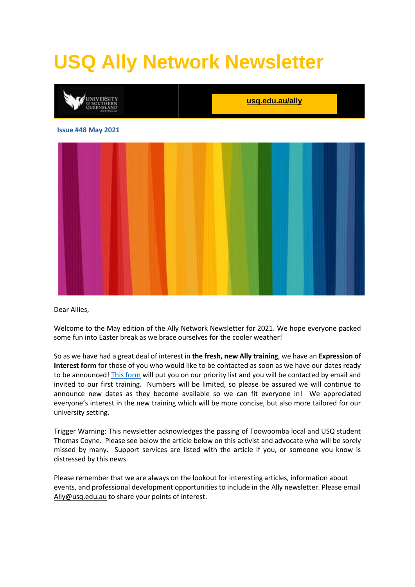# **USQ Ally Network Newsletter**



Dear Allies,

Welcome to the May edition of the Ally Network Newsletter for 2021. We hope everyone packed some fun into Easter break as we brace ourselves for the cooler weather!

So as we have had a great deal of interest in **the fresh, new Ally training**, we have an **Expression of Interest form** for those of you who would like to be contacted as soon as we have our dates ready to be announced[! This form](https://accesshub.usq.edu.au/Form.aspx?id=1084970) will put you on our priority list and you will be contacted by email and invited to our first training. Numbers will be limited, so please be assured we will continue to announce new dates as they become available so we can fit everyone in! We appreciated everyone's interest in the new training which will be more concise, but also more tailored for our university setting.

Trigger Warning: This newsletter acknowledges the passing of Toowoomba local and USQ student Thomas Coyne. Please see below the article below on this activist and advocate who will be sorely missed by many. Support services are listed with the article if you, or someone you know is distressed by this news.

Please remember that we are always on the lookout for interesting articles, information about events, and professional development opportunities to include in the Ally newsletter. Please email [Ally@usq.edu.au](mailto:Ally@usq.edu.au) to share your points of interest.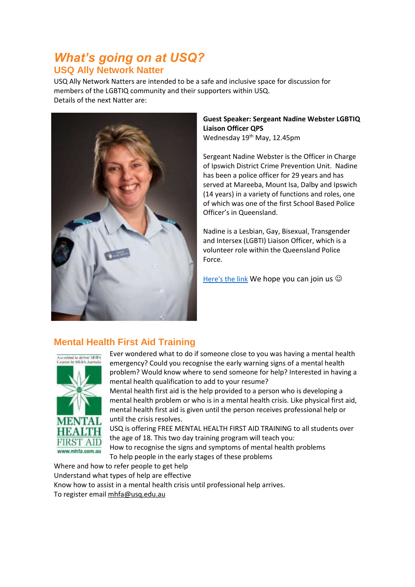## *What's going on at USQ?*  **USQ Ally Network Natter**

USQ Ally Network Natters are intended to be a safe and inclusive space for discussion for members of the LGBTIQ community and their supporters within USQ. Details of the next Natter are:



**Guest Speaker: Sergeant Nadine Webster LGBTIQ Liaison Officer QPS** Wednesday 19<sup>th</sup> May, 12.45pm

Sergeant Nadine Webster is the Officer in Charge of Ipswich District Crime Prevention Unit. Nadine has been a police officer for 29 years and has served at Mareeba, Mount Isa, Dalby and Ipswich (14 years) in a variety of functions and roles, one of which was one of the first School Based Police Officer's in Queensland.

Nadine is a Lesbian, Gay, Bisexual, Transgender and Intersex (LGBTI) Liaison Officer, which is a volunteer role within the Queensland Police Force.

[Here's the link](https://usq.zoom.us/webinar/register/WN_XehyEdGSRiy268f019s9Fw) We hope you can join us  $\odot$ 

## **Mental Health First Aid Training**



Ever wondered what to do if someone close to you was having a mental health emergency? Could you recognise the early warning signs of a mental health problem? Would know where to send someone for help? Interested in having a mental health qualification to add to your resume? Mental health first aid is the help provided to a person who is developing a mental health problem or who is in a mental health crisis. Like physical first aid, mental health first aid is given until the person receives professional help or

until the crisis resolves.

USQ is offering FREE MENTAL HEALTH FIRST AID TRAINING to all students over the age of 18. This two day training program will teach you:

How to recognise the signs and symptoms of mental health problems To help people in the early stages of these problems

Where and how to refer people to get help Understand what types of help are effective Know how to assist in a mental health crisis until professional help arrives. To register email [mhfa@usq.edu.au](mailto:mhfa@usq.edu.au)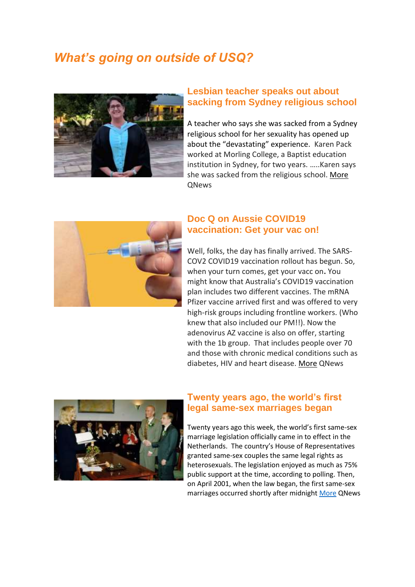# *What's going on outside of USQ?*



#### **Lesbian teacher speaks out about sacking from Sydney religious school**

A teacher who says she was sacked from a Sydney religious school for her sexuality has opened up about the "devastating" experience. Karen Pack worked at Morling College, a Baptist education institution in Sydney, for two years. …..Karen says she was sacked from the religious school. [More](https://qnews.com.au/lesbian-teacher-speaks-out-about-sacking-from-sydney-religious-school/) **ONews** 



## **Doc Q on Aussie COVID19 vaccination: Get your vac on!**

Well, folks, the day has finally arrived. The SARS-COV2 COVID19 vaccination rollout has begun. So, when your turn comes, get your vacc on**.** You might know that Australia's COVID19 vaccination plan includes two different vaccines. The mRNA Pfizer vaccine arrived first and was offered to very high-risk groups including frontline workers. (Who knew that also included our PM!!). Now the adenovirus AZ vaccine is also on offer, starting with the 1b group. That includes people over 70 and those with chronic medical conditions such as diabetes, HIV and heart disease. [More](https://qnews.com.au/doc-q-on-aussie-covid19-vaccination-get-your-vacc-on/) QNews



#### **Twenty years ago, the world's first legal same-sex marriages began**

Twenty years ago this week, the world's first same-sex marriage legislation officially came in to effect in the Netherlands. The country's House of Representatives granted same-sex couples the same legal rights as heterosexuals. The legislation enjoyed as much as 75% public support at the time, according to polling. Then, on April 2001, when the law began, the first same-sex marriages occurred shortly after midnight [More](https://qnews.com.au/twenty-years-ago-the-worlds-first-legal-same-sex-marriages-began/) QNews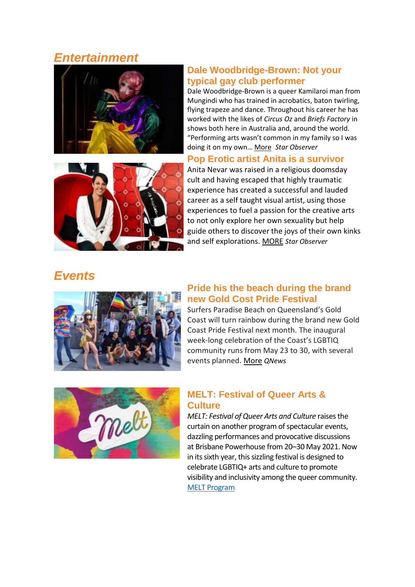## *Entertainment*





## **Dale Woodbridge-Brown: Not your typical gay club performer**

Dale Woodbridge-Brown is a queer Kamilaroi man from Mungindi who has trained in acrobatics, baton twirling, flying trapeze and dance. Throughout his career he has worked with the likes of *Circus Oz* and *Briefs Factory* in shows both here in Australia and, around the world. "Performing arts wasn't common in my family so I was doing it on my own… [More](https://www.starobserver.com.au/artsentertainment/202520/202520) *Star Observer*

## **Pop Erotic artist Anita is a survivor**

Anita Nevar was raised in a religious doomsday cult and having escaped that highly traumatic experience has created a successful and lauded career as a self taught visual artist, using those experiences to fuel a passion for the creative arts to not only explore her own sexuality but help guide others to discover the joys of their own kinks and self explorations. [MORE](https://www.starobserver.com.au/artsentertainment/pop-erotic-artist-anita-is-a-survivor/201669) *Star Observer*

# *Events*



#### **Pride his the beach during the brand new Gold Cost Pride Festival**

Surfers Paradise Beach on Queensland's Gold Coast will turn rainbow during the brand new Gold Coast Pride Festival next month. The inaugural week-long celebration of the Coast's LGBTIQ community runs from May 23 to 30, with several events planned. [More](https://qnews.com.au/pride-hits-the-beach-during-the-brand-new-gold-coast-pride-festival/) *QNews*



## **MELT: Festival of Queer Arts & Culture**

*MELT: Festival of Queer Arts and Culture* raisesthe curtain on another program of spectacular events, dazzling performances and provocative discussions at Brisbane Powerhouse from 20–30 May 2021. Now in its sixth year, this sizzling festival is designed to celebrate LGBTIQ+ arts and culture to promote visibility and inclusivity among the queer community. [MELT Program](https://brisbanepowerhouse.org/whats-on/festival/melt-festival-of-queer-arts-culture/)